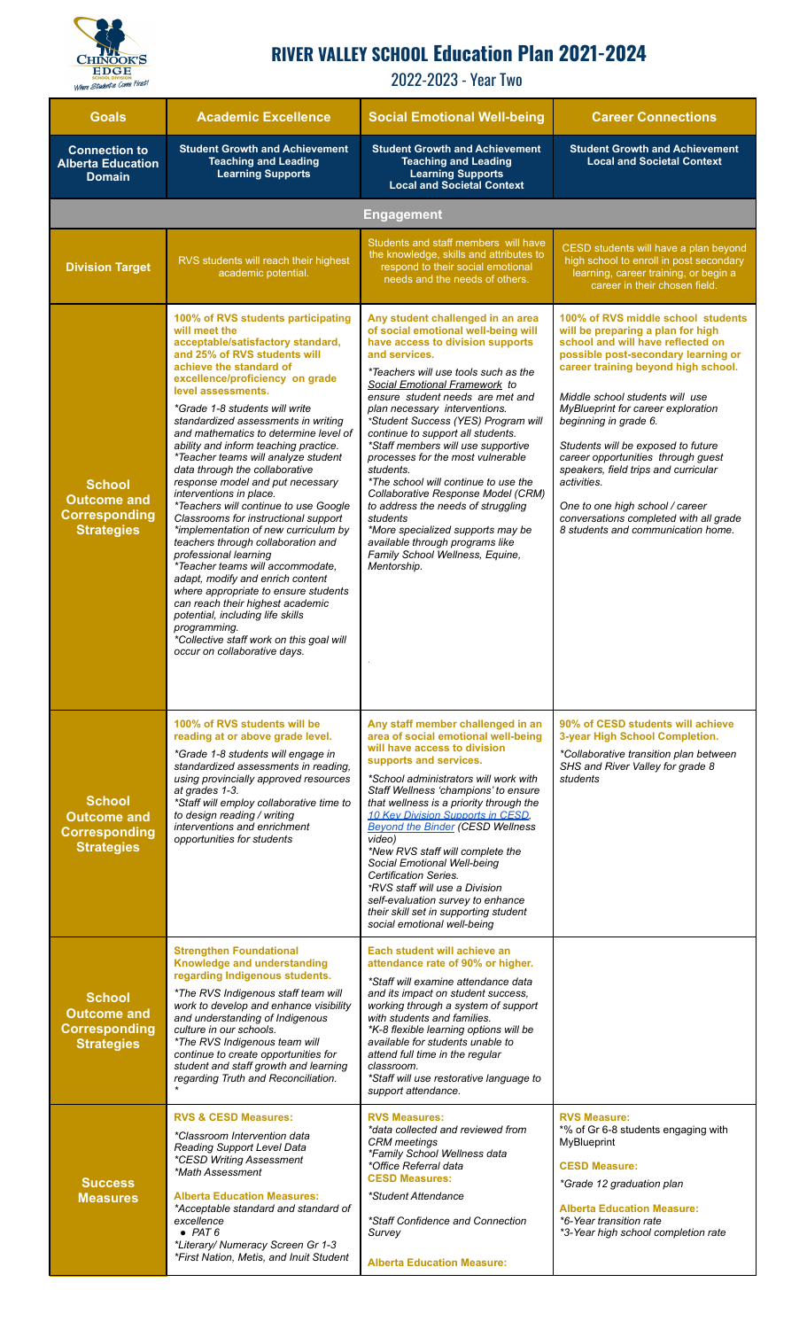

## **RIVER VALLEY SCHOOL Education Plan 2021-2024**

2022-2023 - Year Two

| <b>Goals</b>                                                                     | <b>Academic Excellence</b>                                                                                                                                                                                                                                                                                                                                                                                                                                                                                                                                                                                                                                                                                                                                                                                                                                                                                                                                                                  | <b>Social Emotional Well-being</b>                                                                                                                                                                                                                                                                                                                                                                                                                                                                                                                                                                                                                                                                        | <b>Career Connections</b>                                                                                                                                                                                                                                                                                                                                                                                                                                                                                                                          |
|----------------------------------------------------------------------------------|---------------------------------------------------------------------------------------------------------------------------------------------------------------------------------------------------------------------------------------------------------------------------------------------------------------------------------------------------------------------------------------------------------------------------------------------------------------------------------------------------------------------------------------------------------------------------------------------------------------------------------------------------------------------------------------------------------------------------------------------------------------------------------------------------------------------------------------------------------------------------------------------------------------------------------------------------------------------------------------------|-----------------------------------------------------------------------------------------------------------------------------------------------------------------------------------------------------------------------------------------------------------------------------------------------------------------------------------------------------------------------------------------------------------------------------------------------------------------------------------------------------------------------------------------------------------------------------------------------------------------------------------------------------------------------------------------------------------|----------------------------------------------------------------------------------------------------------------------------------------------------------------------------------------------------------------------------------------------------------------------------------------------------------------------------------------------------------------------------------------------------------------------------------------------------------------------------------------------------------------------------------------------------|
| <b>Connection to</b><br><b>Alberta Education</b><br><b>Domain</b>                | <b>Student Growth and Achievement</b><br><b>Teaching and Leading</b><br><b>Learning Supports</b>                                                                                                                                                                                                                                                                                                                                                                                                                                                                                                                                                                                                                                                                                                                                                                                                                                                                                            | <b>Student Growth and Achievement</b><br><b>Teaching and Leading</b><br><b>Learning Supports</b><br><b>Local and Societal Context</b>                                                                                                                                                                                                                                                                                                                                                                                                                                                                                                                                                                     | <b>Student Growth and Achievement</b><br><b>Local and Societal Context</b>                                                                                                                                                                                                                                                                                                                                                                                                                                                                         |
| <b>Engagement</b>                                                                |                                                                                                                                                                                                                                                                                                                                                                                                                                                                                                                                                                                                                                                                                                                                                                                                                                                                                                                                                                                             |                                                                                                                                                                                                                                                                                                                                                                                                                                                                                                                                                                                                                                                                                                           |                                                                                                                                                                                                                                                                                                                                                                                                                                                                                                                                                    |
| <b>Division Target</b>                                                           | RVS students will reach their highest<br>academic potential.                                                                                                                                                                                                                                                                                                                                                                                                                                                                                                                                                                                                                                                                                                                                                                                                                                                                                                                                | Students and staff members will have<br>the knowledge, skills and attributes to<br>respond to their social emotional<br>needs and the needs of others.                                                                                                                                                                                                                                                                                                                                                                                                                                                                                                                                                    | CESD students will have a plan beyond<br>high school to enroll in post secondary<br>learning, career training, or begin a<br>career in their chosen field.                                                                                                                                                                                                                                                                                                                                                                                         |
| <b>School</b><br><b>Outcome and</b><br><b>Corresponding</b><br><b>Strategies</b> | 100% of RVS students participating<br>will meet the<br>acceptable/satisfactory standard,<br>and 25% of RVS students will<br>achieve the standard of<br>excellence/proficiency on grade<br>level assessments.<br>*Grade 1-8 students will write<br>standardized assessments in writing<br>and mathematics to determine level of<br>ability and inform teaching practice.<br>*Teacher teams will analyze student<br>data through the collaborative<br>response model and put necessary<br>interventions in place.<br>*Teachers will continue to use Google<br>Classrooms for instructional support<br>*implementation of new curriculum by<br>teachers through collaboration and<br>professional learning<br>*Teacher teams will accommodate,<br>adapt, modify and enrich content<br>where appropriate to ensure students<br>can reach their highest academic<br>potential, including life skills<br>programming.<br>*Collective staff work on this goal will<br>occur on collaborative days. | Any student challenged in an area<br>of social emotional well-being will<br>have access to division supports<br>and services.<br>*Teachers will use tools such as the<br>Social Emotional Framework to<br>ensure student needs are met and<br>plan necessary interventions.<br>*Student Success (YES) Program will<br>continue to support all students.<br>*Staff members will use supportive<br>processes for the most vulnerable<br>students.<br>*The school will continue to use the<br>Collaborative Response Model (CRM)<br>to address the needs of struggling<br>students<br>*More specialized supports may be<br>available through programs like<br>Family School Wellness, Equine,<br>Mentorship. | 100% of RVS middle school students<br>will be preparing a plan for high<br>school and will have reflected on<br>possible post-secondary learning or<br>career training beyond high school.<br>Middle school students will use<br>MyBlueprint for career exploration<br>beginning in grade 6.<br>Students will be exposed to future<br>career opportunities through guest<br>speakers, field trips and curricular<br>activities.<br>One to one high school / career<br>conversations completed with all grade<br>8 students and communication home. |
| <b>School</b><br><b>Outcome and</b><br><b>Corresponding</b><br><b>Strategies</b> | 100% of RVS students will be<br>reading at or above grade level.<br>*Grade 1-8 students will engage in<br>standardized assessments in reading,<br>using provincially approved resources<br>at grades 1-3.<br>*Staff will employ collaborative time to<br>to design reading / writing<br>interventions and enrichment<br>opportunities for students                                                                                                                                                                                                                                                                                                                                                                                                                                                                                                                                                                                                                                          | Any staff member challenged in an<br>area of social emotional well-being<br>will have access to division<br>supports and services.<br>*School administrators will work with<br>Staff Wellness 'champions' to ensure<br>that wellness is a priority through the<br>10 Kev Division Supports in CESD,<br><b>Beyond the Binder (CESD Wellness</b><br>video)<br>*New RVS staff will complete the<br>Social Emotional Well-being<br>Certification Series.<br>*RVS staff will use a Division<br>self-evaluation survey to enhance<br>their skill set in supporting student<br>social emotional well-being                                                                                                       | 90% of CESD students will achieve<br>3-year High School Completion.<br>*Collaborative transition plan between<br>SHS and River Valley for grade 8<br>students                                                                                                                                                                                                                                                                                                                                                                                      |
| <b>School</b><br><b>Outcome and</b><br><b>Corresponding</b><br><b>Strategies</b> | <b>Strengthen Foundational</b><br>Knowledge and understanding<br>regarding Indigenous students.<br>*The RVS Indigenous staff team will<br>work to develop and enhance visibility<br>and understanding of Indigenous<br>culture in our schools.<br>*The RVS Indigenous team will<br>continue to create opportunities for<br>student and staff growth and learning<br>regarding Truth and Reconciliation.                                                                                                                                                                                                                                                                                                                                                                                                                                                                                                                                                                                     | Each student will achieve an<br>attendance rate of 90% or higher.<br>*Staff will examine attendance data<br>and its impact on student success,<br>working through a system of support<br>with students and families.<br>*K-8 flexible learning options will be<br>available for students unable to<br>attend full time in the regular<br>classroom.<br>*Staff will use restorative language to<br>support attendance.                                                                                                                                                                                                                                                                                     |                                                                                                                                                                                                                                                                                                                                                                                                                                                                                                                                                    |
| <b>Success</b><br><b>Measures</b>                                                | <b>RVS &amp; CESD Measures:</b><br>*Classroom Intervention data<br>Reading Support Level Data<br><i>*CESD Writing Assessment</i><br>*Math Assessment<br><b>Alberta Education Measures:</b><br>*Acceptable standard and standard of<br>excellence<br>$\bullet$ PAT 6<br>*Literary/ Numeracy Screen Gr 1-3<br>*First Nation, Metis, and Inuit Student                                                                                                                                                                                                                                                                                                                                                                                                                                                                                                                                                                                                                                         | <b>RVS Measures:</b><br>*data collected and reviewed from<br><b>CRM</b> meetings<br>*Family School Wellness data<br>*Office Referral data<br><b>CESD Measures:</b><br>*Student Attendance<br>*Staff Confidence and Connection<br>Survey<br><b>Alberta Education Measure:</b>                                                                                                                                                                                                                                                                                                                                                                                                                              | <b>RVS Measure:</b><br>*% of Gr 6-8 students engaging with<br><b>MyBlueprint</b><br><b>CESD Measure:</b><br>*Grade 12 graduation plan<br><b>Alberta Education Measure:</b><br>*6-Year transition rate<br>*3-Year high school completion rate                                                                                                                                                                                                                                                                                                       |